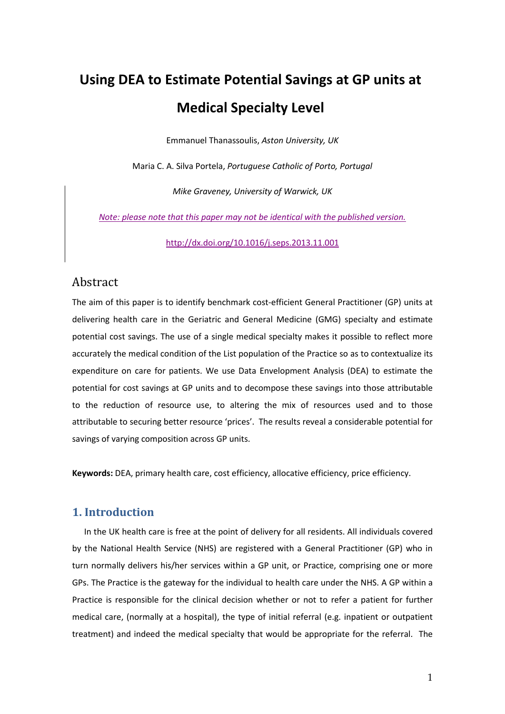# **Using DEA to Estimate Potential Savings at GP units at Medical Specialty Level**

Emmanuel Thanassoulis, *Aston University, UK*

Maria C. A. Silva Portela, *Portuguese Catholic of Porto, Portugal*

*Mike Graveney, University of Warwick, UK*

*Note: please note that this paper may not be identical with the published version.*

http://dx.doi.org/10.1016/j.seps.2013.11.001

## Abstract

The aim of this paper is to identify benchmark cost-efficient General Practitioner (GP) units at delivering health care in the Geriatric and General Medicine (GMG) specialty and estimate potential cost savings. The use of a single medical specialty makes it possible to reflect more accurately the medical condition of the List population of the Practice so as to contextualize its expenditure on care for patients. We use Data Envelopment Analysis (DEA) to estimate the potential for cost savings at GP units and to decompose these savings into those attributable to the reduction of resource use, to altering the mix of resources used and to those attributable to securing better resource 'prices'. The results reveal a considerable potential for savings of varying composition across GP units.

**Keywords:** DEA, primary health care, cost efficiency, allocative efficiency, price efficiency.

## **1. Introduction**

In the UK health care is free at the point of delivery for all residents. All individuals covered by the National Health Service (NHS) are registered with a General Practitioner (GP) who in turn normally delivers his/her services within a GP unit, or Practice, comprising one or more GPs. The Practice is the gateway for the individual to health care under the NHS. A GP within a Practice is responsible for the clinical decision whether or not to refer a patient for further medical care, (normally at a hospital), the type of initial referral (e.g. inpatient or outpatient treatment) and indeed the medical specialty that would be appropriate for the referral. The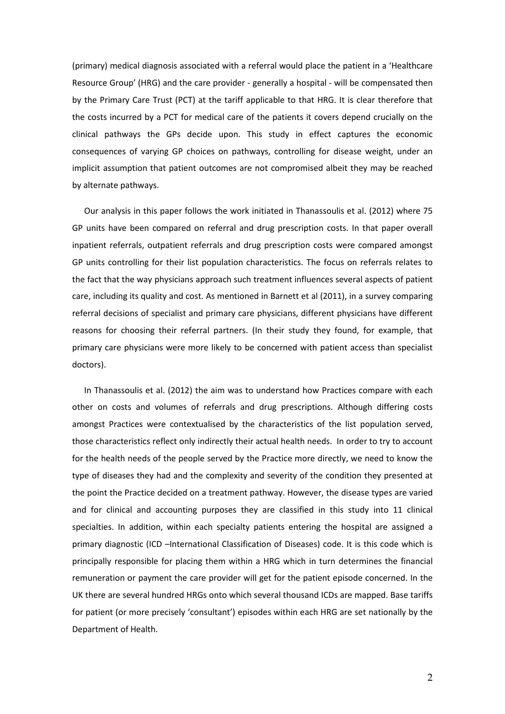(primary) medical diagnosis associated with a referral would place the patient in a 'Healthcare Resource Group' (HRG) and the care provider - generally a hospital - will be compensated then by the Primary Care Trust (PCT) at the tariff applicable to that HRG. It is clear therefore that the costs incurred by a PCT for medical care of the patients it covers depend crucially on the clinical pathways the GPs decide upon. This study in effect captures the economic consequences of varying GP choices on pathways, controlling for disease weight, under an implicit assumption that patient outcomes are not compromised albeit they may be reached by alternate pathways.

Our analysis in this paper follows the work initiated in Thanassoulis et al. (2012) where 75 GP units have been compared on referral and drug prescription costs. In that paper overall inpatient referrals, outpatient referrals and drug prescription costs were compared amongst GP units controlling for their list population characteristics. The focus on referrals relates to the fact that the way physicians approach such treatment influences several aspects of patient care, including its quality and cost. As mentioned in Barnett et al (2011), in a survey comparing referral decisions of specialist and primary care physicians, different physicians have different reasons for choosing their referral partners. (In their study they found, for example, that primary care physicians were more likely to be concerned with patient access than specialist doctors).

In Thanassoulis et al. (2012) the aim was to understand how Practices compare with each other on costs and volumes of referrals and drug prescriptions. Although differing costs amongst Practices were contextualised by the characteristics of the list population served, those characteristics reflect only indirectly their actual health needs. In order to try to account for the health needs of the people served by the Practice more directly, we need to know the type of diseases they had and the complexity and severity of the condition they presented at the point the Practice decided on a treatment pathway. However, the disease types are varied and for clinical and accounting purposes they are classified in this study into 11 clinical specialties. In addition, within each specialty patients entering the hospital are assigned a primary diagnostic (ICD –International Classification of Diseases) code. It is this code which is principally responsible for placing them within a HRG which in turn determines the financial remuneration or payment the care provider will get for the patient episode concerned. In the UK there are several hundred HRGs onto which several thousand ICDs are mapped. Base tariffs for patient (or more precisely 'consultant') episodes within each HRG are set nationally by the Department of Health.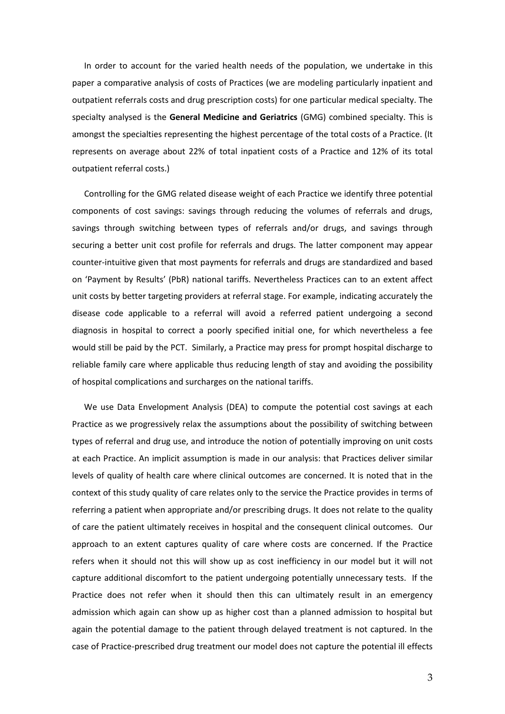In order to account for the varied health needs of the population, we undertake in this paper a comparative analysis of costs of Practices (we are modeling particularly inpatient and outpatient referrals costs and drug prescription costs) for one particular medical specialty. The specialty analysed is the **General Medicine and Geriatrics** (GMG) combined specialty. This is amongst the specialties representing the highest percentage of the total costs of a Practice. (It represents on average about 22% of total inpatient costs of a Practice and 12% of its total outpatient referral costs.)

Controlling for the GMG related disease weight of each Practice we identify three potential components of cost savings: savings through reducing the volumes of referrals and drugs, savings through switching between types of referrals and/or drugs, and savings through securing a better unit cost profile for referrals and drugs. The latter component may appear counter-intuitive given that most payments for referrals and drugs are standardized and based on 'Payment by Results' (PbR) national tariffs. Nevertheless Practices can to an extent affect unit costs by better targeting providers at referral stage. For example, indicating accurately the disease code applicable to a referral will avoid a referred patient undergoing a second diagnosis in hospital to correct a poorly specified initial one, for which nevertheless a fee would still be paid by the PCT. Similarly, a Practice may press for prompt hospital discharge to reliable family care where applicable thus reducing length of stay and avoiding the possibility of hospital complications and surcharges on the national tariffs.

We use Data Envelopment Analysis (DEA) to compute the potential cost savings at each Practice as we progressively relax the assumptions about the possibility of switching between types of referral and drug use, and introduce the notion of potentially improving on unit costs at each Practice. An implicit assumption is made in our analysis: that Practices deliver similar levels of quality of health care where clinical outcomes are concerned. It is noted that in the context of this study quality of care relates only to the service the Practice provides in terms of referring a patient when appropriate and/or prescribing drugs. It does not relate to the quality of care the patient ultimately receives in hospital and the consequent clinical outcomes. Our approach to an extent captures quality of care where costs are concerned. If the Practice refers when it should not this will show up as cost inefficiency in our model but it will not capture additional discomfort to the patient undergoing potentially unnecessary tests. If the Practice does not refer when it should then this can ultimately result in an emergency admission which again can show up as higher cost than a planned admission to hospital but again the potential damage to the patient through delayed treatment is not captured. In the case of Practice-prescribed drug treatment our model does not capture the potential ill effects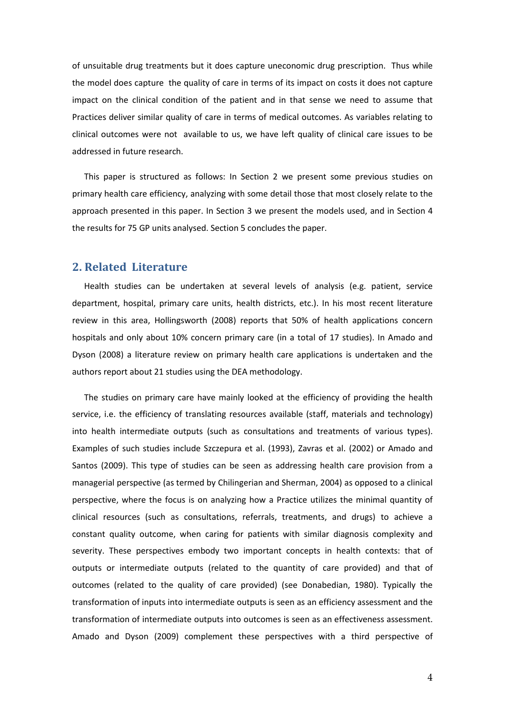of unsuitable drug treatments but it does capture uneconomic drug prescription. Thus while the model does capture the quality of care in terms of its impact on costs it does not capture impact on the clinical condition of the patient and in that sense we need to assume that Practices deliver similar quality of care in terms of medical outcomes. As variables relating to clinical outcomes were not available to us, we have left quality of clinical care issues to be addressed in future research.

This paper is structured as follows: In Section 2 we present some previous studies on primary health care efficiency, analyzing with some detail those that most closely relate to the approach presented in this paper. In Section 3 we present the models used, and in Section 4 the results for 75 GP units analysed. Section 5 concludes the paper.

## **2. Related Literature**

Health studies can be undertaken at several levels of analysis (e.g. patient, service department, hospital, primary care units, health districts, etc.). In his most recent literature review in this area, Hollingsworth (2008) reports that 50% of health applications concern hospitals and only about 10% concern primary care (in a total of 17 studies). In Amado and Dyson (2008) a literature review on primary health care applications is undertaken and the authors report about 21 studies using the DEA methodology.

The studies on primary care have mainly looked at the efficiency of providing the health service, i.e. the efficiency of translating resources available (staff, materials and technology) into health intermediate outputs (such as consultations and treatments of various types). Examples of such studies include Szczepura et al. (1993), Zavras et al. (2002) or Amado and Santos (2009). This type of studies can be seen as addressing health care provision from a managerial perspective (as termed by Chilingerian and Sherman, 2004) as opposed to a clinical perspective, where the focus is on analyzing how a Practice utilizes the minimal quantity of clinical resources (such as consultations, referrals, treatments, and drugs) to achieve a constant quality outcome, when caring for patients with similar diagnosis complexity and severity. These perspectives embody two important concepts in health contexts: that of outputs or intermediate outputs (related to the quantity of care provided) and that of outcomes (related to the quality of care provided) (see Donabedian, 1980). Typically the transformation of inputs into intermediate outputs is seen as an efficiency assessment and the transformation of intermediate outputs into outcomes is seen as an effectiveness assessment. Amado and Dyson (2009) complement these perspectives with a third perspective of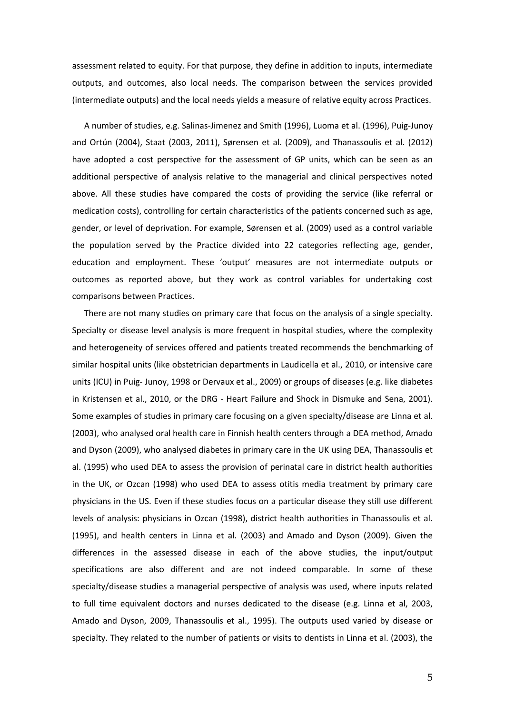assessment related to equity. For that purpose, they define in addition to inputs, intermediate outputs, and outcomes, also local needs. The comparison between the services provided (intermediate outputs) and the local needs yields a measure of relative equity across Practices.

A number of studies, e.g. Salinas-Jimenez and Smith (1996), Luoma et al. (1996), Puig-Junoy and Ortún (2004), Staat (2003, 2011), Sørensen et al. (2009), and Thanassoulis et al. (2012) have adopted a cost perspective for the assessment of GP units, which can be seen as an additional perspective of analysis relative to the managerial and clinical perspectives noted above. All these studies have compared the costs of providing the service (like referral or medication costs), controlling for certain characteristics of the patients concerned such as age, gender, or level of deprivation. For example, Sørensen et al. (2009) used as a control variable the population served by the Practice divided into 22 categories reflecting age, gender, education and employment. These 'output' measures are not intermediate outputs or outcomes as reported above, but they work as control variables for undertaking cost comparisons between Practices.

There are not many studies on primary care that focus on the analysis of a single specialty. Specialty or disease level analysis is more frequent in hospital studies, where the complexity and heterogeneity of services offered and patients treated recommends the benchmarking of similar hospital units (like obstetrician departments in Laudicella et al., 2010, or intensive care units (ICU) in Puig- Junoy, 1998 or Dervaux et al., 2009) or groups of diseases (e.g. like diabetes in Kristensen et al., 2010, or the DRG - Heart Failure and Shock in Dismuke and Sena, 2001). Some examples of studies in primary care focusing on a given specialty/disease are Linna et al. (2003), who analysed oral health care in Finnish health centers through a DEA method, Amado and Dyson (2009), who analysed diabetes in primary care in the UK using DEA, Thanassoulis et al. (1995) who used DEA to assess the provision of perinatal care in district health authorities in the UK, or Ozcan (1998) who used DEA to assess otitis media treatment by primary care physicians in the US. Even if these studies focus on a particular disease they still use different levels of analysis: physicians in Ozcan (1998), district health authorities in Thanassoulis et al. (1995), and health centers in Linna et al. (2003) and Amado and Dyson (2009). Given the differences in the assessed disease in each of the above studies, the input/output specifications are also different and are not indeed comparable. In some of these specialty/disease studies a managerial perspective of analysis was used, where inputs related to full time equivalent doctors and nurses dedicated to the disease (e.g. Linna et al, 2003, Amado and Dyson, 2009, Thanassoulis et al., 1995). The outputs used varied by disease or specialty. They related to the number of patients or visits to dentists in Linna et al. (2003), the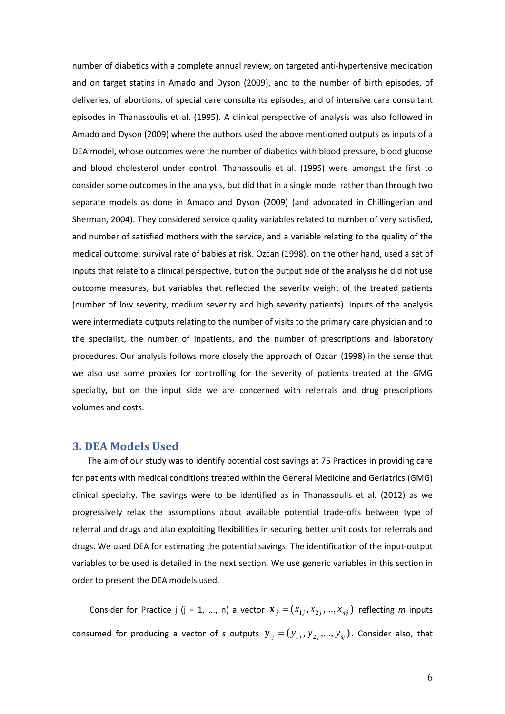number of diabetics with a complete annual review, on targeted anti-hypertensive medication and on target statins in Amado and Dyson (2009), and to the number of birth episodes, of deliveries, of abortions, of special care consultants episodes, and of intensive care consultant episodes in Thanassoulis et al. (1995). A clinical perspective of analysis was also followed in Amado and Dyson (2009) where the authors used the above mentioned outputs as inputs of a DEA model, whose outcomes were the number of diabetics with blood pressure, blood glucose and blood cholesterol under control. Thanassoulis et al. (1995) were amongst the first to consider some outcomes in the analysis, but did that in a single model rather than through two separate models as done in Amado and Dyson (2009) (and advocated in Chillingerian and Sherman, 2004). They considered service quality variables related to number of very satisfied, and number of satisfied mothers with the service, and a variable relating to the quality of the medical outcome: survival rate of babies at risk. Ozcan (1998), on the other hand, used a set of inputs that relate to a clinical perspective, but on the output side of the analysis he did not use outcome measures, but variables that reflected the severity weight of the treated patients (number of low severity, medium severity and high severity patients). Inputs of the analysis were intermediate outputs relating to the number of visits to the primary care physician and to the specialist, the number of inpatients, and the number of prescriptions and laboratory procedures. Our analysis follows more closely the approach of Ozcan (1998) in the sense that we also use some proxies for controlling for the severity of patients treated at the GMG specialty, but on the input side we are concerned with referrals and drug prescriptions volumes and costs.

#### **3. DEA Models Used**

The aim of our study was to identify potential cost savings at 75 Practices in providing care for patients with medical conditions treated within the General Medicine and Geriatrics (GMG) clinical specialty. The savings were to be identified as in Thanassoulis et al. (2012) as we progressively relax the assumptions about available potential trade-offs between type of referral and drugs and also exploiting flexibilities in securing better unit costs for referrals and drugs. We used DEA for estimating the potential savings. The identification of the input-output variables to be used is detailed in the next section. We use generic variables in this section in order to present the DEA models used.

Consider for Practice j (j = 1, ..., n) a vector  $\mathbf{x}_i = (x_{1i}, x_{2i},..., x_{mi})$  reflecting *m* inputs consumed for producing a vector of *s* outputs  $\mathbf{y}_i = (y_{1i}, y_{2i}, ..., y_{si})$ . Consider also, that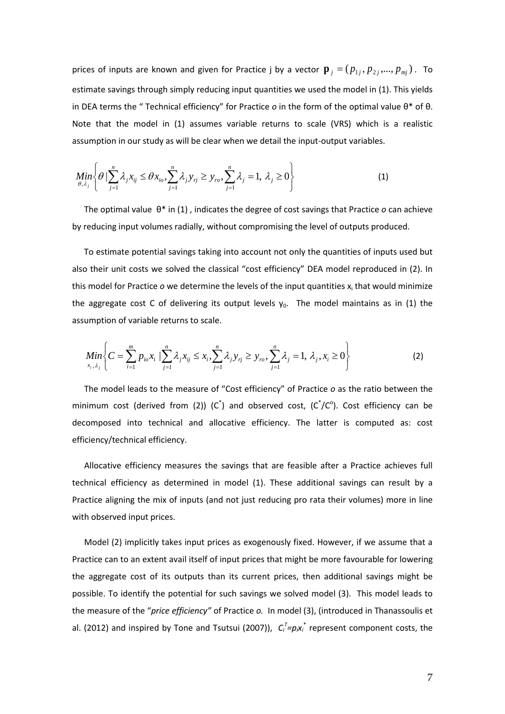prices of inputs are known and given for Practice j by a vector  ${\bf p}_i = (p_{1i}, p_{2i},..., p_{mi})$ . To estimate savings through simply reducing input quantities we used the model in (1). This yields in DEA terms the " Technical efficiency" for Practice *o* in the form of the optimal value θ\* of θ. Note that the model in (1) assumes variable returns to scale (VRS) which is a realistic assumption in our study as will be clear when we detail the input-output variables.

$$
\underset{\theta,\lambda_j}{Min} \left\{ \theta \, \big| \sum_{j=1}^n \lambda_j x_{ij} \leq \theta x_{io}, \sum_{j=1}^n \lambda_j y_{rj} \geq y_{ro}, \sum_{j=1}^n \lambda_j = 1, \lambda_j \geq 0 \right\} \tag{1}
$$

The optimal value θ\* in (1) , indicates the degree of cost savings that Practice *o* can achieve by reducing input volumes radially, without compromising the level of outputs produced.

To estimate potential savings taking into account not only the quantities of inputs used but also their unit costs we solved the classical "cost efficiency" DEA model reproduced in (2). In this model for Practice  $o$  we determine the levels of the input quantities  $x_i$  that would minimize the aggregate cost C of delivering its output levels  $y_0$ . The model maintains as in (1) the assumption of variable returns to scale.

$$
\underset{x_i, \lambda_j}{Min} \bigg\{ C = \sum_{i=1}^{m} p_{io} x_i \, \big| \sum_{j=1}^{n} \lambda_j x_{ij} \le x_i, \sum_{j=1}^{n} \lambda_j y_{ij} \ge y_{ro}, \sum_{j=1}^{n} \lambda_j = 1, \, \lambda_j, x_i \ge 0 \bigg\}
$$
 (2)

The model leads to the measure of "Cost efficiency" of Practice *o* as the ratio between the minimum cost (derived from (2)) ( $C^*$ ) and observed cost, ( $C^*/C^0$ ). Cost efficiency can be decomposed into technical and allocative efficiency. The latter is computed as: cost efficiency/technical efficiency.

Allocative efficiency measures the savings that are feasible after a Practice achieves full technical efficiency as determined in model (1). These additional savings can result by a Practice aligning the mix of inputs (and not just reducing pro rata their volumes) more in line with observed input prices.

Model (2) implicitly takes input prices as exogenously fixed. However, if we assume that a Practice can to an extent avail itself of input prices that might be more favourable for lowering the aggregate cost of its outputs than its current prices, then additional savings might be possible. To identify the potential for such savings we solved model (3). This model leads to the measure of the "*price efficiency"* of Practice *o.* In model (3), (introduced in Thanassoulis et al. (2012) and inspired by Tone and Tsutsui (2007)),  $C_i^T = p_i x_i^*$  represent component costs, the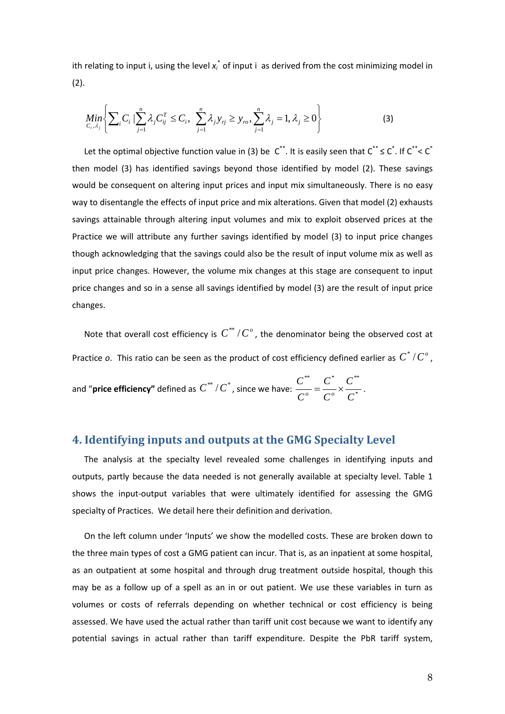ith relating to input i, using the level  $x_i^*$  of input i as derived from the cost minimizing model in (2).

$$
\underset{C_i,\lambda_j}{Min} \Biggl\{ \sum_i C_i \mid \sum_{j=1}^n \lambda_j C_{ij}^T \leq C_i, \sum_{j=1}^n \lambda_j y_{rj} \geq y_{ro}, \sum_{j=1}^n \lambda_j = 1, \lambda_j \geq 0 \Biggr\}
$$
 (3)

Let the optimal objective function value in (3) be  $C^*$ . It is easily seen that  $C^* \leq C$ . If  $C^* < C^*$ then model (3) has identified savings beyond those identified by model (2). These savings would be consequent on altering input prices and input mix simultaneously. There is no easy way to disentangle the effects of input price and mix alterations. Given that model (2) exhausts savings attainable through altering input volumes and mix to exploit observed prices at the Practice we will attribute any further savings identified by model (3) to input price changes though acknowledging that the savings could also be the result of input volume mix as well as input price changes. However, the volume mix changes at this stage are consequent to input price changes and so in a sense all savings identified by model (3) are the result of input price changes.

Note that overall cost efficiency is  $C^{**}/C^o$ , the denominator being the observed cost at Practice *o*. This ratio can be seen as the product of cost efficiency defined earlier as  $C^*/C^o$ ,

and "**price efficiency"** defined as  $C^{**}/C^*$ , since we have:  $\frac{C}{C^o} = \frac{C}{C^o} \times \frac{C}{C^*}$ \*\*  $\bigcap^*$   $\bigcap^{**}$ *C C C C C C*  $\frac{\partial}{\partial t} = \frac{\partial}{\partial t} \times \frac{\partial}{\partial t}$ .

### **4. Identifying inputs and outputs at the GMG Specialty Level**

The analysis at the specialty level revealed some challenges in identifying inputs and outputs, partly because the data needed is not generally available at specialty level. [Table 1](#page-8-0) shows the input-output variables that were ultimately identified for assessing the GMG specialty of Practices. We detail here their definition and derivation.

On the left column under 'Inputs' we show the modelled costs. These are broken down to the three main types of cost a GMG patient can incur. That is, as an inpatient at some hospital, as an outpatient at some hospital and through drug treatment outside hospital, though this may be as a follow up of a spell as an in or out patient. We use these variables in turn as volumes or costs of referrals depending on whether technical or cost efficiency is being assessed. We have used the actual rather than tariff unit cost because we want to identify any potential savings in actual rather than tariff expenditure. Despite the PbR tariff system,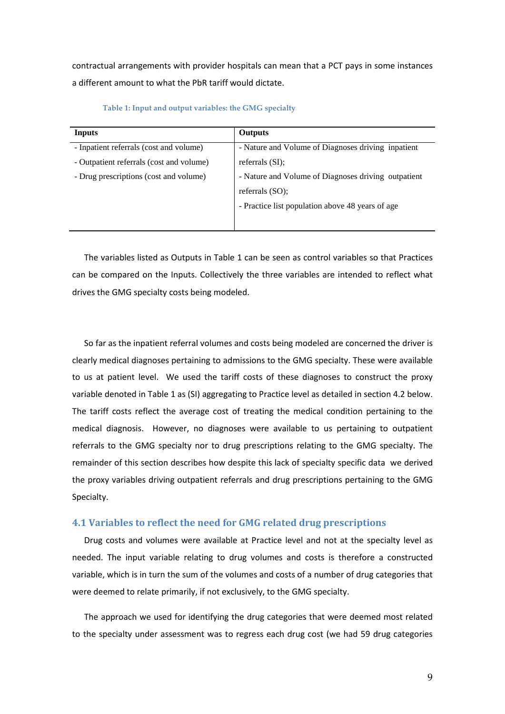contractual arrangements with provider hospitals can mean that a PCT pays in some instances a different amount to what the PbR tariff would dictate.

<span id="page-8-0"></span>

| Inputs                                   | Outputs                                             |
|------------------------------------------|-----------------------------------------------------|
| - Inpatient referrals (cost and volume)  | - Nature and Volume of Diagnoses driving inpatient  |
| - Outpatient referrals (cost and volume) | referrals $(SI)$ :                                  |
| - Drug prescriptions (cost and volume)   | - Nature and Volume of Diagnoses driving outpatient |
|                                          | referrals $(SO)$ :                                  |
|                                          | - Practice list population above 48 years of age    |
|                                          |                                                     |

**Table 1: Input and output variables: the GMG specialty**

The variables listed as Outputs in [Table 1](#page-8-0) can be seen as control variables so that Practices can be compared on the Inputs. Collectively the three variables are intended to reflect what drives the GMG specialty costs being modeled.

So far as the inpatient referral volumes and costs being modeled are concerned the driver is clearly medical diagnoses pertaining to admissions to the GMG specialty. These were available to us at patient level. We used the tariff costs of these diagnoses to construct the proxy variable denoted in Table 1 as (SI) aggregating to Practice level as detailed in section 4.2 below. The tariff costs reflect the average cost of treating the medical condition pertaining to the medical diagnosis. However, no diagnoses were available to us pertaining to outpatient referrals to the GMG specialty nor to drug prescriptions relating to the GMG specialty. The remainder of this section describes how despite this lack of specialty specific data we derived the proxy variables driving outpatient referrals and drug prescriptions pertaining to the GMG Specialty.

#### **4.1 Variables to reflect the need for GMG related drug prescriptions**

Drug costs and volumes were available at Practice level and not at the specialty level as needed. The input variable relating to drug volumes and costs is therefore a constructed variable, which is in turn the sum of the volumes and costs of a number of drug categories that were deemed to relate primarily, if not exclusively, to the GMG specialty.

The approach we used for identifying the drug categories that were deemed most related to the specialty under assessment was to regress each drug cost (we had 59 drug categories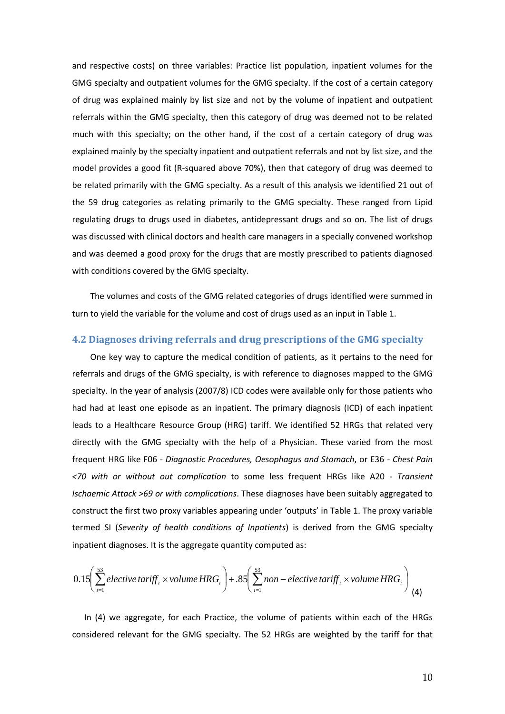and respective costs) on three variables: Practice list population, inpatient volumes for the GMG specialty and outpatient volumes for the GMG specialty. If the cost of a certain category of drug was explained mainly by list size and not by the volume of inpatient and outpatient referrals within the GMG specialty, then this category of drug was deemed not to be related much with this specialty; on the other hand, if the cost of a certain category of drug was explained mainly by the specialty inpatient and outpatient referrals and not by list size, and the model provides a good fit (R-squared above 70%), then that category of drug was deemed to be related primarily with the GMG specialty. As a result of this analysis we identified 21 out of the 59 drug categories as relating primarily to the GMG specialty. These ranged from Lipid regulating drugs to drugs used in diabetes, antidepressant drugs and so on. The list of drugs was discussed with clinical doctors and health care managers in a specially convened workshop and was deemed a good proxy for the drugs that are mostly prescribed to patients diagnosed with conditions covered by the GMG specialty.

The volumes and costs of the GMG related categories of drugs identified were summed in turn to yield the variable for the volume and cost of drugs used as an input in [Table 1.](#page-8-0)

#### **4.2 Diagnoses driving referrals and drug prescriptions of the GMG specialty**

One key way to capture the medical condition of patients, as it pertains to the need for referrals and drugs of the GMG specialty, is with reference to diagnoses mapped to the GMG specialty. In the year of analysis (2007/8) ICD codes were available only for those patients who had had at least one episode as an inpatient. The primary diagnosis (ICD) of each inpatient leads to a Healthcare Resource Group (HRG) tariff. We identified 52 HRGs that related very directly with the GMG specialty with the help of a Physician. These varied from the most frequent HRG like F06 - *Diagnostic Procedures, Oesophagus and Stomach*, or E36 - *Chest Pain <70 with or without out complication* to some less frequent HRGs like A20 - *Transient Ischaemic Attack >69 or with complications*. These diagnoses have been suitably aggregated to construct the first two proxy variables appearing under 'outputs' in [Table 1.](#page-8-0) The proxy variable termed SI (*Severity of health conditions of Inpatients*) is derived from the GMG specialty inpatient diagnoses. It is the aggregate quantity computed as:

$$
0.15\left(\sum_{i=1}^{53} electric\,tariff_i \times volume\,HRG_i\right) + .85\left(\sum_{i=1}^{53} non-elective\,tariff_i \times volume\,HRG_i\right) \tag{4}
$$

In (4) we aggregate, for each Practice, the volume of patients within each of the HRGs considered relevant for the GMG specialty. The 52 HRGs are weighted by the tariff for that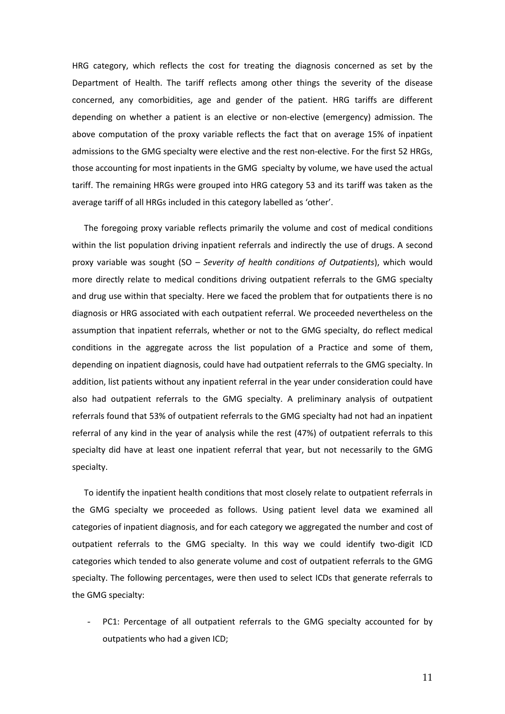HRG category, which reflects the cost for treating the diagnosis concerned as set by the Department of Health. The tariff reflects among other things the severity of the disease concerned, any comorbidities, age and gender of the patient. HRG tariffs are different depending on whether a patient is an elective or non-elective (emergency) admission. The above computation of the proxy variable reflects the fact that on average 15% of inpatient admissions to the GMG specialty were elective and the rest non-elective. For the first 52 HRGs, those accounting for most inpatients in the GMG specialty by volume, we have used the actual tariff. The remaining HRGs were grouped into HRG category 53 and its tariff was taken as the average tariff of all HRGs included in this category labelled as 'other'.

The foregoing proxy variable reflects primarily the volume and cost of medical conditions within the list population driving inpatient referrals and indirectly the use of drugs. A second proxy variable was sought (SO – *Severity of health conditions of Outpatients*), which would more directly relate to medical conditions driving outpatient referrals to the GMG specialty and drug use within that specialty. Here we faced the problem that for outpatients there is no diagnosis or HRG associated with each outpatient referral. We proceeded nevertheless on the assumption that inpatient referrals, whether or not to the GMG specialty, do reflect medical conditions in the aggregate across the list population of a Practice and some of them, depending on inpatient diagnosis, could have had outpatient referrals to the GMG specialty. In addition, list patients without any inpatient referral in the year under consideration could have also had outpatient referrals to the GMG specialty. A preliminary analysis of outpatient referrals found that 53% of outpatient referrals to the GMG specialty had not had an inpatient referral of any kind in the year of analysis while the rest (47%) of outpatient referrals to this specialty did have at least one inpatient referral that year, but not necessarily to the GMG specialty.

To identify the inpatient health conditions that most closely relate to outpatient referrals in the GMG specialty we proceeded as follows. Using patient level data we examined all categories of inpatient diagnosis, and for each category we aggregated the number and cost of outpatient referrals to the GMG specialty. In this way we could identify two-digit ICD categories which tended to also generate volume and cost of outpatient referrals to the GMG specialty. The following percentages, were then used to select ICDs that generate referrals to the GMG specialty:

PC1: Percentage of all outpatient referrals to the GMG specialty accounted for by outpatients who had a given ICD;

11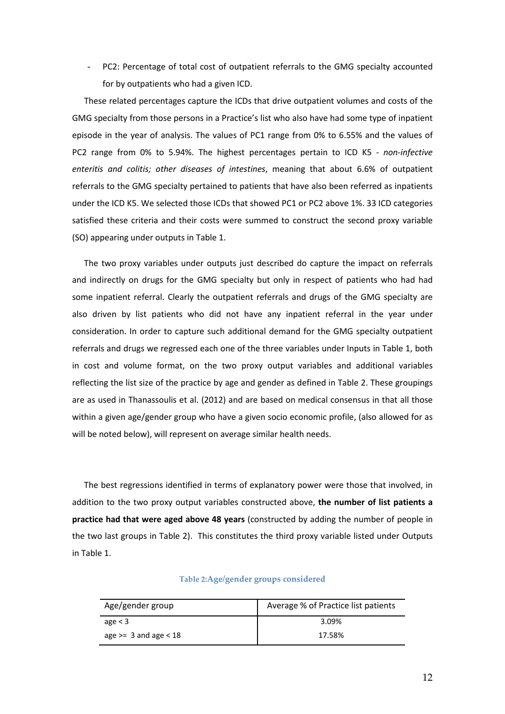PC2: Percentage of total cost of outpatient referrals to the GMG specialty accounted for by outpatients who had a given ICD.

These related percentages capture the ICDs that drive outpatient volumes and costs of the GMG specialty from those persons in a Practice's list who also have had some type of inpatient episode in the year of analysis. The values of PC1 range from 0% to 6.55% and the values of PC2 range from 0% to 5.94%. The highest percentages pertain to ICD K5 - *non-infective enteritis and colitis; other diseases of intestines*, meaning that about 6.6% of outpatient referrals to the GMG specialty pertained to patients that have also been referred as inpatients under the ICD K5. We selected those ICDs that showed PC1 or PC2 above 1%. 33 ICD categories satisfied these criteria and their costs were summed to construct the second proxy variable (SO) appearing under outputs in [Table 1.](#page-8-0)

The two proxy variables under outputs just described do capture the impact on referrals and indirectly on drugs for the GMG specialty but only in respect of patients who had had some inpatient referral. Clearly the outpatient referrals and drugs of the GMG specialty are also driven by list patients who did not have any inpatient referral in the year under consideration. In order to capture such additional demand for the GMG specialty outpatient referrals and drugs we regressed each one of the three variables under Inputs in [Table 1,](#page-8-0) both in cost and volume format, on the two proxy output variables and additional variables reflecting the list size of the practice by age and gender as defined in Table 2. These groupings are as used in Thanassoulis et al. (2012) and are based on medical consensus in that all those within a given age/gender group who have a given socio economic profile, (also allowed for as will be noted below), will represent on average similar health needs.

The best regressions identified in terms of explanatory power were those that involved, in addition to the two proxy output variables constructed above, **the number of list patients a practice had that were aged above 48 years** (constructed by adding the number of people in the two last groups in Table 2). This constitutes the third proxy variable listed under Outputs in [Table 1.](#page-8-0)

| Age/gender group          | Average % of Practice list patients |  |  |
|---------------------------|-------------------------------------|--|--|
| age $<$ 3                 | 3.09%                               |  |  |
| age $>=$ 3 and age $<$ 18 | 17.58%                              |  |  |

#### **Table 2:Age/gender groups considered**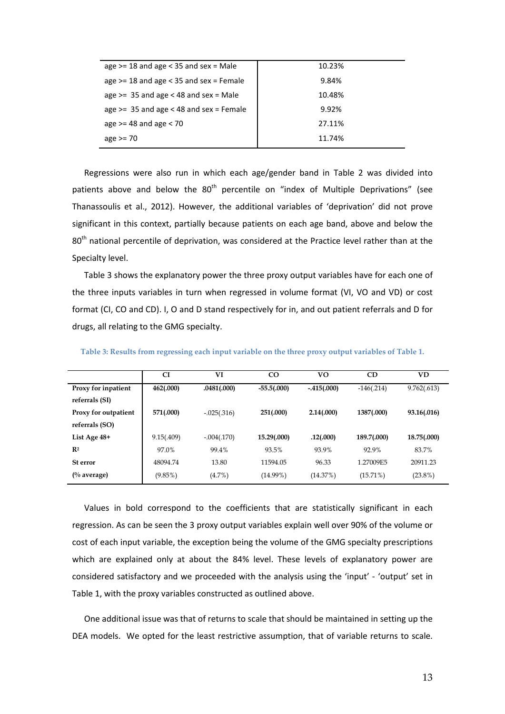| age $>= 18$ and age $< 35$ and sex = Male   | 10.23% |
|---------------------------------------------|--------|
| age $>=$ 18 and age $<$ 35 and sex = Female | 9.84%  |
| age $>=$ 35 and age $<$ 48 and sex = Male   | 10.48% |
| age $>=$ 35 and age $<$ 48 and sex = Female | 9.92%  |
| age $>=$ 48 and age $<$ 70                  | 27.11% |
| $age >= 70$                                 | 11.74% |

Regressions were also run in which each age/gender band in Table 2 was divided into patients above and below the  $80<sup>th</sup>$  percentile on "index of Multiple Deprivations" (see Thanassoulis et al., 2012). However, the additional variables of 'deprivation' did not prove significant in this context, partially because patients on each age band, above and below the 80<sup>th</sup> national percentile of deprivation, was considered at the Practice level rather than at the Specialty level.

[Table 3](#page-12-0) shows the explanatory power the three proxy output variables have for each one of the three inputs variables in turn when regressed in volume format (VI, VO and VD) or cost format (CI, CO and CD). I, O and D stand respectively for in, and out patient referrals and D for drugs, all relating to the GMG specialty.

|                        | <b>CI</b>  | VI            | CO.           | VO.           | CD           | <b>VD</b>   |
|------------------------|------------|---------------|---------------|---------------|--------------|-------------|
| Proxy for inpatient    | 462(.000)  | .0481(.000)   | $-55.5(.000)$ | $-.415(.000)$ | $-146(.214)$ | 9.762(.613) |
| referrals (SI)         |            |               |               |               |              |             |
| Proxy for outpatient   | 571(.000)  | $-.025(.316)$ | 251(.000)     | 2.14(.000)    | 1387(.000)   | 93.16(.016) |
| referrals (SO)         |            |               |               |               |              |             |
| List Age 48+           | 9.15(.409) | $-.004(.170)$ | 15.29(.000)   | .12(.000)     | 189.7(.000)  | 18.75(.000) |
| R <sup>2</sup>         | 97.0%      | 99.4%         | 93.5%         | 93.9%         | 92.9%        | 83.7%       |
| <b>St</b> error        | 48094.74   | 13.80         | 11594.05      | 96.33         | 1.27009E5    | 20911.23    |
| $\frac{0}{0}$ average) | $(9.85\%)$ | $(4.7\%)$     | $(14.99\%)$   | (14.37%)      | $(15.71\%)$  | $(23.8\%)$  |

<span id="page-12-0"></span>**Table 3: Results from regressing each input variable on the three proxy output variables of Table 1.**

Values in bold correspond to the coefficients that are statistically significant in each regression. As can be seen the 3 proxy output variables explain well over 90% of the volume or cost of each input variable, the exception being the volume of the GMG specialty prescriptions which are explained only at about the 84% level. These levels of explanatory power are considered satisfactory and we proceeded with the analysis using the 'input' - 'output' set in [Table 1,](#page-8-0) with the proxy variables constructed as outlined above.

One additional issue was that of returns to scale that should be maintained in setting up the DEA models. We opted for the least restrictive assumption, that of variable returns to scale.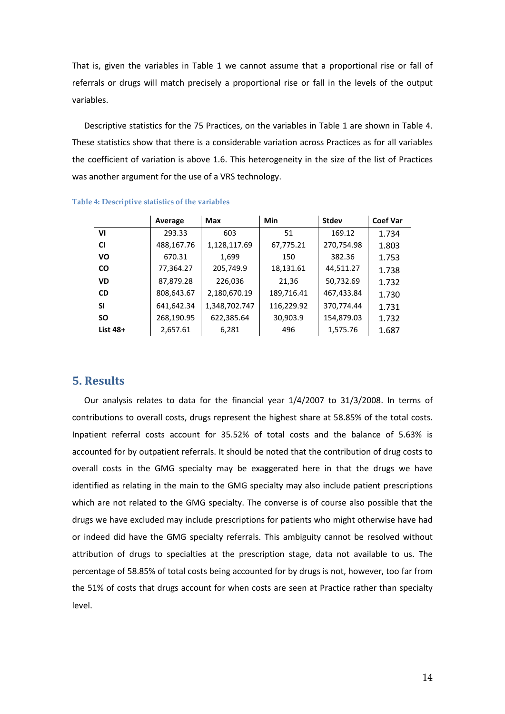That is, given the variables in Table 1 we cannot assume that a proportional rise or fall of referrals or drugs will match precisely a proportional rise or fall in the levels of the output variables.

Descriptive statistics for the 75 Practices, on the variables in Table 1 are shown in [Table 4.](#page-13-0) These statistics show that there is a considerable variation across Practices as for all variables the coefficient of variation is above 1.6. This heterogeneity in the size of the list of Practices was another argument for the use of a VRS technology.

|            | Average    | Max           | <b>Min</b> | <b>Stdev</b> | <b>Coef Var</b> |
|------------|------------|---------------|------------|--------------|-----------------|
| VI         | 293.33     | 603           | 51         | 169.12       | 1.734           |
| СI         | 488,167.76 | 1,128,117.69  | 67,775.21  | 270,754.98   | 1.803           |
| VO         | 670.31     | 1,699         | 150        | 382.36       | 1.753           |
| <b>CO</b>  | 77,364.27  | 205,749.9     | 18,131.61  | 44,511.27    | 1.738           |
| <b>VD</b>  | 87,879.28  | 226,036       | 21,36      | 50,732.69    | 1.732           |
| <b>CD</b>  | 808,643.67 | 2,180,670.19  | 189,716.41 | 467,433.84   | 1.730           |
| SI         | 641,642.34 | 1,348,702.747 | 116,229.92 | 370,774.44   | 1.731           |
| <b>SO</b>  | 268,190.95 | 622,385.64    | 30,903.9   | 154,879.03   | 1.732           |
| List $48+$ | 2,657.61   | 6,281         | 496        | 1,575.76     | 1.687           |

<span id="page-13-0"></span>**Table 4: Descriptive statistics of the variables**

## **5. Results**

Our analysis relates to data for the financial year 1/4/2007 to 31/3/2008. In terms of contributions to overall costs, drugs represent the highest share at 58.85% of the total costs. Inpatient referral costs account for 35.52% of total costs and the balance of 5.63% is accounted for by outpatient referrals. It should be noted that the contribution of drug costs to overall costs in the GMG specialty may be exaggerated here in that the drugs we have identified as relating in the main to the GMG specialty may also include patient prescriptions which are not related to the GMG specialty. The converse is of course also possible that the drugs we have excluded may include prescriptions for patients who might otherwise have had or indeed did have the GMG specialty referrals. This ambiguity cannot be resolved without attribution of drugs to specialties at the prescription stage, data not available to us. The percentage of 58.85% of total costs being accounted for by drugs is not, however, too far from the 51% of costs that drugs account for when costs are seen at Practice rather than specialty level.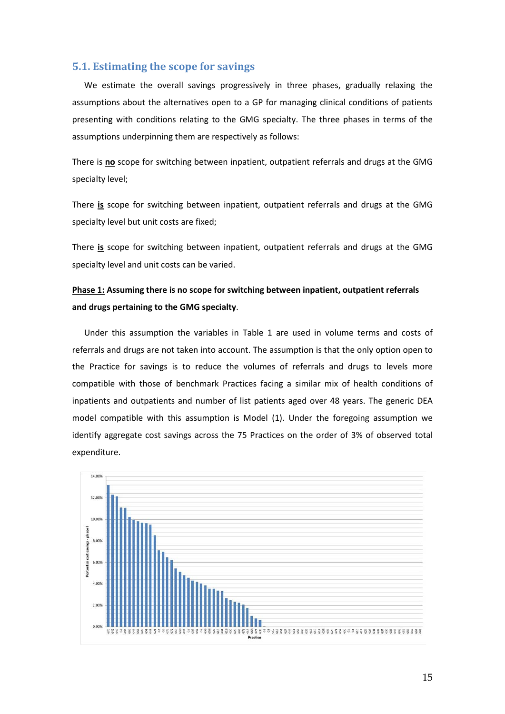#### **5.1. Estimating the scope for savings**

We estimate the overall savings progressively in three phases, gradually relaxing the assumptions about the alternatives open to a GP for managing clinical conditions of patients presenting with conditions relating to the GMG specialty. The three phases in terms of the assumptions underpinning them are respectively as follows:

There is **no** scope for switching between inpatient, outpatient referrals and drugs at the GMG specialty level;

There **is** scope for switching between inpatient, outpatient referrals and drugs at the GMG specialty level but unit costs are fixed;

There **is** scope for switching between inpatient, outpatient referrals and drugs at the GMG specialty level and unit costs can be varied.

# **Phase 1: Assuming there is no scope for switching between inpatient, outpatient referrals and drugs pertaining to the GMG specialty**.

Under this assumption the variables in [Table 1](#page-8-0) are used in volume terms and costs of referrals and drugs are not taken into account. The assumption is that the only option open to the Practice for savings is to reduce the volumes of referrals and drugs to levels more compatible with those of benchmark Practices facing a similar mix of health conditions of inpatients and outpatients and number of list patients aged over 48 years. The generic DEA model compatible with this assumption is Model (1). Under the foregoing assumption we identify aggregate cost savings across the 75 Practices on the order of 3% of observed total expenditure.

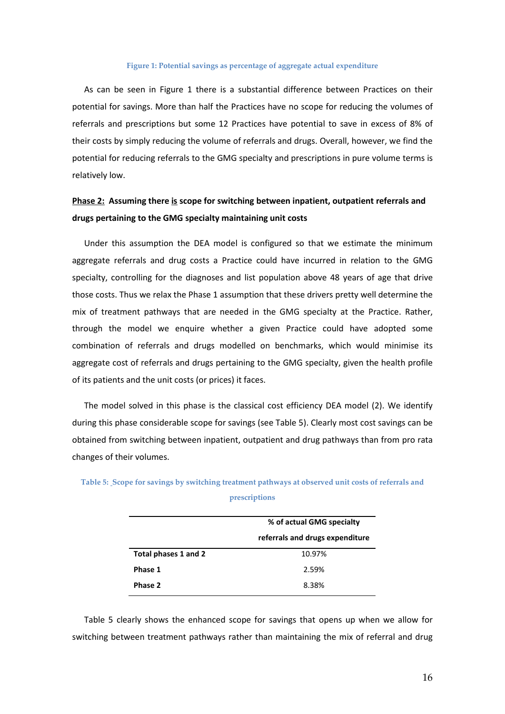#### **Figure 1: Potential savings as percentage of aggregate actual expenditure**

<span id="page-15-0"></span>As can be seen in [Figure 1](#page-15-0) there is a substantial difference between Practices on their potential for savings. More than half the Practices have no scope for reducing the volumes of referrals and prescriptions but some 12 Practices have potential to save in excess of 8% of their costs by simply reducing the volume of referrals and drugs. Overall, however, we find the potential for reducing referrals to the GMG specialty and prescriptions in pure volume terms is relatively low.

# **Phase 2: Assuming there is scope for switching between inpatient, outpatient referrals and drugs pertaining to the GMG specialty maintaining unit costs**

Under this assumption the DEA model is configured so that we estimate the minimum aggregate referrals and drug costs a Practice could have incurred in relation to the GMG specialty, controlling for the diagnoses and list population above 48 years of age that drive those costs. Thus we relax the Phase 1 assumption that these drivers pretty well determine the mix of treatment pathways that are needed in the GMG specialty at the Practice. Rather, through the model we enquire whether a given Practice could have adopted some combination of referrals and drugs modelled on benchmarks, which would minimise its aggregate cost of referrals and drugs pertaining to the GMG specialty, given the health profile of its patients and the unit costs (or prices) it faces.

The model solved in this phase is the classical cost efficiency DEA model (2). We identify during this phase considerable scope for savings (see [Table 5\)](#page-15-1). Clearly most cost savings can be obtained from switching between inpatient, outpatient and drug pathways than from pro rata changes of their volumes.

|                      | % of actual GMG specialty       |  |
|----------------------|---------------------------------|--|
|                      | referrals and drugs expenditure |  |
| Total phases 1 and 2 | 10.97%                          |  |
| Phase 1              | 2.59%                           |  |
| Phase 2              | 8.38%                           |  |

<span id="page-15-1"></span>**Table 5: Scope for savings by switching treatment pathways at observed unit costs of referrals and** 

**prescriptions**

[Table 5](#page-15-1) clearly shows the enhanced scope for savings that opens up when we allow for switching between treatment pathways rather than maintaining the mix of referral and drug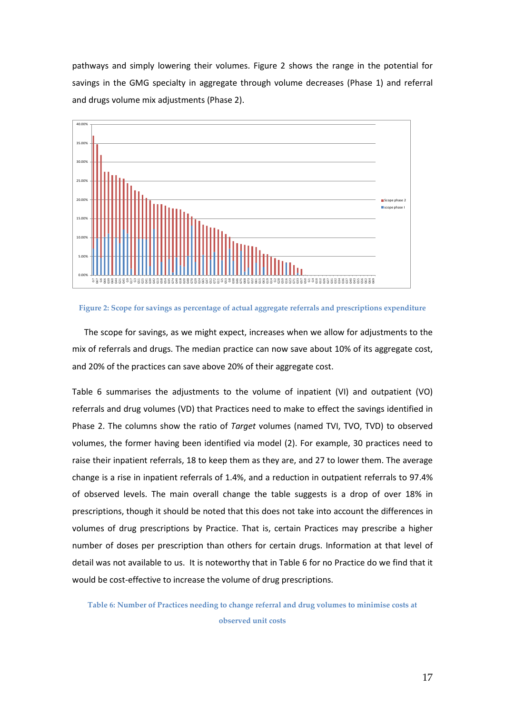pathways and simply lowering their volumes. [Figure 2](#page-16-0) shows the range in the potential for savings in the GMG specialty in aggregate through volume decreases (Phase 1) and referral and drugs volume mix adjustments (Phase 2).



<span id="page-16-0"></span>**Figure 2: Scope for savings as percentage of actual aggregate referrals and prescriptions expenditure**

The scope for savings, as we might expect, increases when we allow for adjustments to the mix of referrals and drugs. The median practice can now save about 10% of its aggregate cost, and 20% of the practices can save above 20% of their aggregate cost[.](#page-16-1)

[Table 6](#page-16-1) summarises the adjustments to the volume of inpatient (VI) and outpatient (VO) referrals and drug volumes (VD) that Practices need to make to effect the savings identified in Phase 2. The columns show the ratio of *Target* volumes (named TVI, TVO, TVD) to observed volumes, the former having been identified via model (2). For example, 30 practices need to raise their inpatient referrals, 18 to keep them as they are, and 27 to lower them. The average change is a rise in inpatient referrals of 1.4%, and a reduction in outpatient referrals to 97.4% of observed levels. The main overall change the table suggests is a drop of over 18% in prescriptions, though it should be noted that this does not take into account the differences in volumes of drug prescriptions by Practice. That is, certain Practices may prescribe a higher number of doses per prescription than others for certain drugs. Information at that level of detail was not available to us. It is noteworthy that in [Table 6](#page-16-2) for no Practice do we find that it would be cost-effective to increase the volume of drug prescriptions.

<span id="page-16-2"></span><span id="page-16-1"></span>**Table 6: Number of Practices needing to change referral and drug volumes to minimise costs at observed unit costs**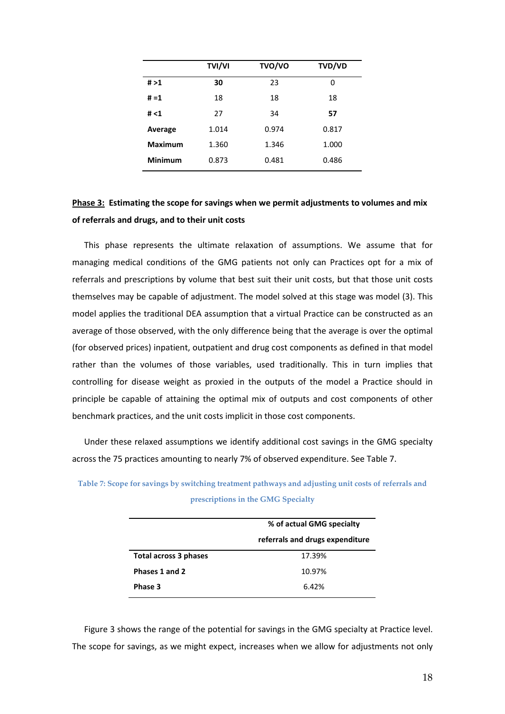|                | <b>TVI/VI</b> | TVO/VO | TVD/VD |
|----------------|---------------|--------|--------|
| # > 1          | 30            | 23     | 0      |
| $# = 1$        | 18            | 18     | 18     |
| # $<$ 1        | 27            | 34     | 57     |
| Average        | 1.014         | 0.974  | 0.817  |
| <b>Maximum</b> | 1.360         | 1.346  | 1.000  |
| <b>Minimum</b> | 0.873         | 0.481  | 0.486  |

# **Phase 3: Estimating the scope for savings when we permit adjustments to volumes and mix of referrals and drugs, and to their unit costs**

This phase represents the ultimate relaxation of assumptions. We assume that for managing medical conditions of the GMG patients not only can Practices opt for a mix of referrals and prescriptions by volume that best suit their unit costs, but that those unit costs themselves may be capable of adjustment. The model solved at this stage was model (3). This model applies the traditional DEA assumption that a virtual Practice can be constructed as an average of those observed, with the only difference being that the average is over the optimal (for observed prices) inpatient, outpatient and drug cost components as defined in that model rather than the volumes of those variables, used traditionally. This in turn implies that controlling for disease weight as proxied in the outputs of the model a Practice should in principle be capable of attaining the optimal mix of outputs and cost components of other benchmark practices, and the unit costs implicit in those cost components.

Under these relaxed assumptions we identify additional cost savings in the GMG specialty across the 75 practices amounting to nearly 7% of observed expenditure. Se[e Table 7.](#page-17-0)

| % of actual GMG specialty       |  |
|---------------------------------|--|
| referrals and drugs expenditure |  |
| 17.39%                          |  |
| 10.97%                          |  |
| 6.42%                           |  |
|                                 |  |

<span id="page-17-0"></span>**Table 7: Scope for savings by switching treatment pathways and adjusting unit costs of referrals and prescriptions in the GMG Specialty**

[Figure 3](#page-18-0) shows the range of the potential for savings in the GMG specialty at Practice level. The scope for savings, as we might expect, increases when we allow for adjustments not only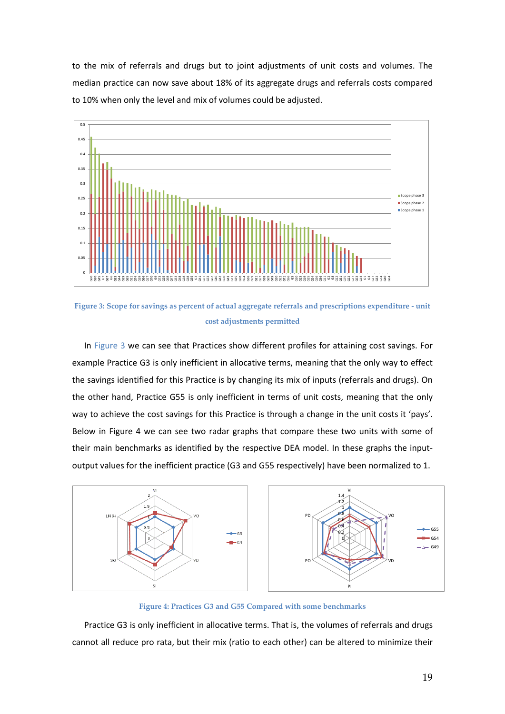to the mix of referrals and drugs but to joint adjustments of unit costs and volumes. The median practice can now save about 18% of its aggregate drugs and referrals costs compared to 10% when only the level and mix of volumes could be adjusted.



<span id="page-18-0"></span>**Figure 3: Scope for savings as percent of actual aggregate referrals and prescriptions expenditure - unit cost adjustments permitted**

In [Figure 3](#page-18-0) we can see that Practices show different profiles for attaining cost savings. For example Practice G3 is only inefficient in allocative terms, meaning that the only way to effect the savings identified for this Practice is by changing its mix of inputs (referrals and drugs). On the other hand, Practice G55 is only inefficient in terms of unit costs, meaning that the only way to achieve the cost savings for this Practice is through a change in the unit costs it 'pays'. Below in [Figure 4](#page-18-1) we can see two radar graphs that compare these two units with some of their main benchmarks as identified by the respective DEA model. In these graphs the inputoutput values for the inefficient practice (G3 and G55 respectively) have been normalized to 1.



**Figure 4: Practices G3 and G55 Compared with some benchmarks**

<span id="page-18-1"></span>Practice G3 is only inefficient in allocative terms. That is, the volumes of referrals and drugs cannot all reduce pro rata, but their mix (ratio to each other) can be altered to minimize their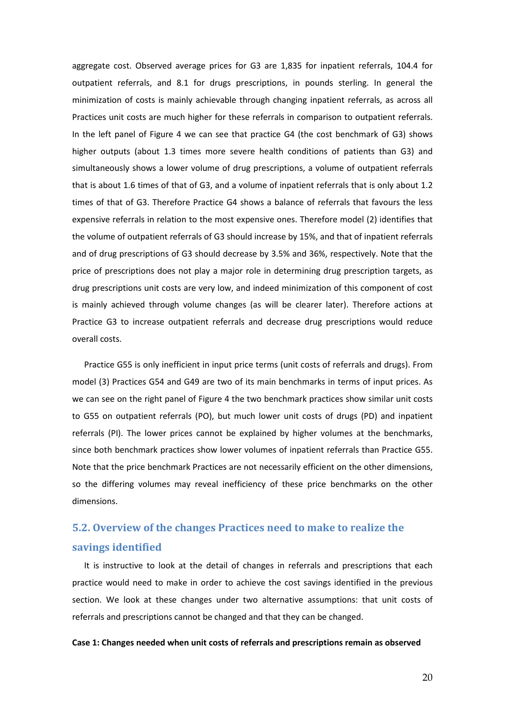aggregate cost. Observed average prices for G3 are 1,835 for inpatient referrals, 104.4 for outpatient referrals, and 8.1 for drugs prescriptions, in pounds sterling. In general the minimization of costs is mainly achievable through changing inpatient referrals, as across all Practices unit costs are much higher for these referrals in comparison to outpatient referrals. In the left panel of [Figure 4](#page-18-1) we can see that practice G4 (the cost benchmark of G3) shows higher outputs (about 1.3 times more severe health conditions of patients than G3) and simultaneously shows a lower volume of drug prescriptions, a volume of outpatient referrals that is about 1.6 times of that of G3, and a volume of inpatient referrals that is only about 1.2 times of that of G3. Therefore Practice G4 shows a balance of referrals that favours the less expensive referrals in relation to the most expensive ones. Therefore model (2) identifies that the volume of outpatient referrals of G3 should increase by 15%, and that of inpatient referrals and of drug prescriptions of G3 should decrease by 3.5% and 36%, respectively. Note that the price of prescriptions does not play a major role in determining drug prescription targets, as drug prescriptions unit costs are very low, and indeed minimization of this component of cost is mainly achieved through volume changes (as will be clearer later). Therefore actions at Practice G3 to increase outpatient referrals and decrease drug prescriptions would reduce overall costs.

Practice G55 is only inefficient in input price terms (unit costs of referrals and drugs). From model (3) Practices G54 and G49 are two of its main benchmarks in terms of input prices. As we can see on the right panel of [Figure 4](#page-18-1) the two benchmark practices show similar unit costs to G55 on outpatient referrals (PO), but much lower unit costs of drugs (PD) and inpatient referrals (PI). The lower prices cannot be explained by higher volumes at the benchmarks, since both benchmark practices show lower volumes of inpatient referrals than Practice G55. Note that the price benchmark Practices are not necessarily efficient on the other dimensions, so the differing volumes may reveal inefficiency of these price benchmarks on the other dimensions.

# **5.2. Overview of the changes Practices need to make to realize the savings identified**

It is instructive to look at the detail of changes in referrals and prescriptions that each practice would need to make in order to achieve the cost savings identified in the previous section. We look at these changes under two alternative assumptions: that unit costs of referrals and prescriptions cannot be changed and that they can be changed.

#### **Case 1: Changes needed when unit costs of referrals and prescriptions remain as observed**

20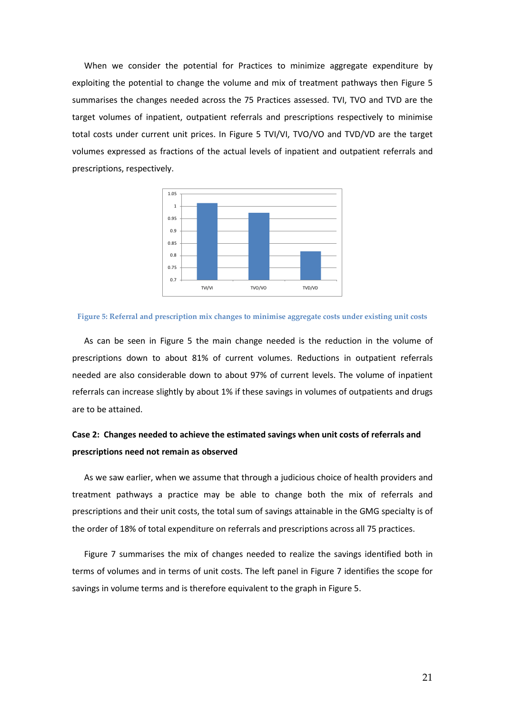When we consider the potential for Practices to minimize aggregate expenditure by exploiting the potential to change the volume and mix of treatment pathways then [Figure 5](#page-20-0) summarises the changes needed across the 75 Practices assessed. TVI, TVO and TVD are the target volumes of inpatient, outpatient referrals and prescriptions respectively to minimise total costs under current unit prices. In [Figure 5](#page-20-0) TVI/VI, TVO/VO and TVD/VD are the target volumes expressed as fractions of the actual levels of inpatient and outpatient referrals and prescriptions, respectively.



<span id="page-20-0"></span>**Figure 5: Referral and prescription mix changes to minimise aggregate costs under existing unit costs**

As can be seen in [Figure 5](#page-20-0) the main change needed is the reduction in the volume of prescriptions down to about 81% of current volumes. Reductions in outpatient referrals needed are also considerable down to about 97% of current levels. The volume of inpatient referrals can increase slightly by about 1% if these savings in volumes of outpatients and drugs are to be attained.

# **Case 2: Changes needed to achieve the estimated savings when unit costs of referrals and prescriptions need not remain as observed**

As we saw earlier, when we assume that through a judicious choice of health providers and treatment pathways a practice may be able to change both the mix of referrals and prescriptions and their unit costs, the total sum of savings attainable in the GMG specialty is of the order of 18% of total expenditure on referrals and prescriptions across all 75 practices.

Figure 7 summarises the mix of changes needed to realize the savings identified both in terms of volumes and in terms of unit costs. The left panel in Figure 7 identifies the scope for savings in volume terms and is therefore equivalent to the graph in [Figure 5.](#page-20-0)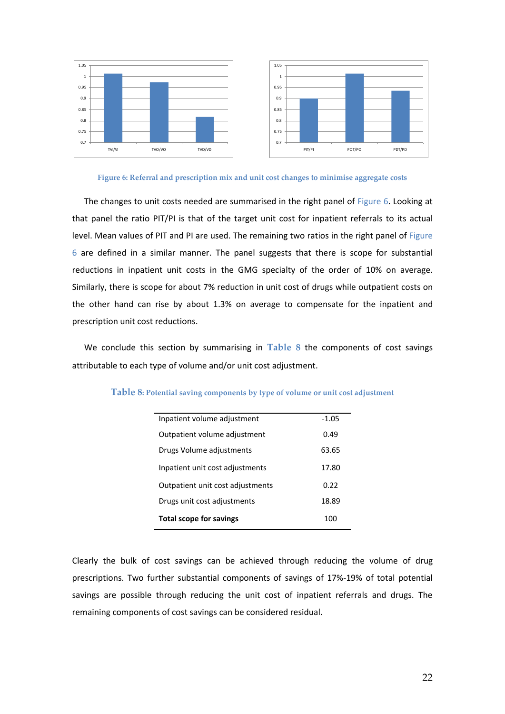

**Figure 6: Referral and prescription mix and unit cost changes to minimise aggregate costs**

<span id="page-21-0"></span>The changes to unit costs needed are summarised in the right panel of [Figure 6.](#page-21-0) Looking at that panel the ratio PIT/PI is that of the target unit cost for inpatient referrals to its actual level. Mean values of PIT and PI are used. The remaining two ratios in the right panel of Figure [6](#page-21-0) are defined in a similar manner. The panel suggests that there is scope for substantial reductions in inpatient unit costs in the GMG specialty of the order of 10% on average. Similarly, there is scope for about 7% reduction in unit cost of drugs while outpatient costs on the other hand can rise by about 1.3% on average to compensate for the inpatient and prescription unit cost reductions.

We conclude this section by summarising in **[Table 8](#page-21-1)** the components of cost savings attributable to each type of volume and/or unit cost adjustment.

| Inpatient volume adjustment      | $-1.05$ |
|----------------------------------|---------|
| Outpatient volume adjustment     | 0.49    |
| Drugs Volume adjustments         | 63.65   |
| Inpatient unit cost adjustments  | 17.80   |
| Outpatient unit cost adjustments | 0.22    |
| Drugs unit cost adjustments      | 18.89   |
| Total scope for savings          | 100     |
|                                  |         |

<span id="page-21-1"></span>**Table 8: Potential saving components by type of volume or unit cost adjustment**

Clearly the bulk of cost savings can be achieved through reducing the volume of drug prescriptions. Two further substantial components of savings of 17%-19% of total potential savings are possible through reducing the unit cost of inpatient referrals and drugs. The remaining components of cost savings can be considered residual.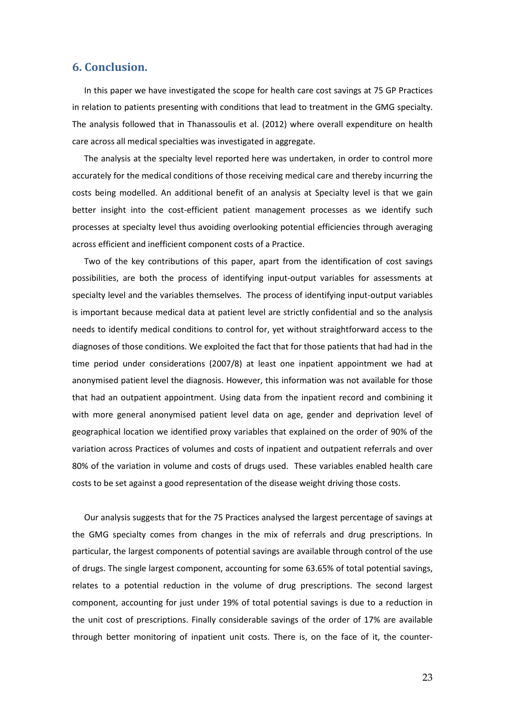### **6. Conclusion.**

In this paper we have investigated the scope for health care cost savings at 75 GP Practices in relation to patients presenting with conditions that lead to treatment in the GMG specialty. The analysis followed that in Thanassoulis et al. (2012) where overall expenditure on health care across all medical specialties was investigated in aggregate.

The analysis at the specialty level reported here was undertaken, in order to control more accurately for the medical conditions of those receiving medical care and thereby incurring the costs being modelled. An additional benefit of an analysis at Specialty level is that we gain better insight into the cost-efficient patient management processes as we identify such processes at specialty level thus avoiding overlooking potential efficiencies through averaging across efficient and inefficient component costs of a Practice.

Two of the key contributions of this paper, apart from the identification of cost savings possibilities, are both the process of identifying input-output variables for assessments at specialty level and the variables themselves. The process of identifying input-output variables is important because medical data at patient level are strictly confidential and so the analysis needs to identify medical conditions to control for, yet without straightforward access to the diagnoses of those conditions. We exploited the fact that for those patients that had had in the time period under considerations (2007/8) at least one inpatient appointment we had at anonymised patient level the diagnosis. However, this information was not available for those that had an outpatient appointment. Using data from the inpatient record and combining it with more general anonymised patient level data on age, gender and deprivation level of geographical location we identified proxy variables that explained on the order of 90% of the variation across Practices of volumes and costs of inpatient and outpatient referrals and over 80% of the variation in volume and costs of drugs used. These variables enabled health care costs to be set against a good representation of the disease weight driving those costs.

Our analysis suggests that for the 75 Practices analysed the largest percentage of savings at the GMG specialty comes from changes in the mix of referrals and drug prescriptions. In particular, the largest components of potential savings are available through control of the use of drugs. The single largest component, accounting for some 63.65% of total potential savings, relates to a potential reduction in the volume of drug prescriptions. The second largest component, accounting for just under 19% of total potential savings is due to a reduction in the unit cost of prescriptions. Finally considerable savings of the order of 17% are available through better monitoring of inpatient unit costs. There is, on the face of it, the counter-

23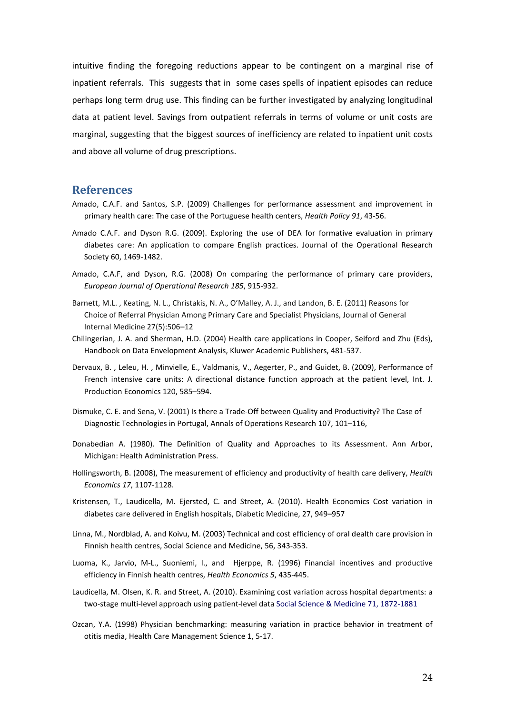intuitive finding the foregoing reductions appear to be contingent on a marginal rise of inpatient referrals. This suggests that in some cases spells of inpatient episodes can reduce perhaps long term drug use. This finding can be further investigated by analyzing longitudinal data at patient level. Savings from outpatient referrals in terms of volume or unit costs are marginal, suggesting that the biggest sources of inefficiency are related to inpatient unit costs and above all volume of drug prescriptions.

#### **References**

- Amado, C.A.F. and Santos, S.P. (2009) Challenges for performance assessment and improvement in primary health care: The case of the Portuguese health centers, *Health Policy 91*, 43-56.
- Amado C.A.F. and Dyson R.G. (2009). Exploring the use of DEA for formative evaluation in primary diabetes care: An application to compare English practices. Journal of the Operational Research Society 60, 1469-1482.
- Amado, C.A.F, and Dyson, R.G. (2008) On comparing the performance of primary care providers, *European Journal of Operational Research 185*, 915-932.
- Barnett, M.L. , Keating, N. L., Christakis, N. A., O'Malley, A. J., and Landon, B. E. (2011) Reasons for Choice of Referral Physician Among Primary Care and Specialist Physicians, Journal of General Internal Medicine 27(5):506–12
- Chilingerian, J. A. and Sherman, H.D. (2004) Health care applications in Cooper, Seiford and Zhu (Eds), Handbook on Data Envelopment Analysis, Kluwer Academic Publishers, 481-537.
- Dervaux, B. , Leleu, H. , Minvielle, E., Valdmanis, V., Aegerter, P., and Guidet, B. (2009), Performance of French intensive care units: A directional distance function approach at the patient level, Int. J. Production Economics 120, 585–594.
- Dismuke, C. E. and Sena, V. (2001) Is there a Trade-Off between Quality and Productivity? The Case of Diagnostic Technologies in Portugal, Annals of Operations Research 107, 101–116,
- Donabedian A. (1980). The Definition of Quality and Approaches to its Assessment. Ann Arbor, Michigan: Health Administration Press.
- Hollingsworth, B. (2008), The measurement of efficiency and productivity of health care delivery, *Health Economics 17*, 1107-1128.
- Kristensen, T., Laudicella, M. Ejersted, C. and Street, A. (2010). Health Economics Cost variation in diabetes care delivered in English hospitals, Diabetic Medicine, 27, 949–957
- Linna, M., Nordblad, A. and Koivu, M. (2003) Technical and cost efficiency of oral dealth care provision in Finnish health centres, Social Science and Medicine, 56, 343-353.
- Luoma, K., Jarvio, M-L., Suoniemi, I., and Hjerppe, R. (1996) Financial incentives and productive efficiency in Finnish health centres, *Health Economics 5*, 435-445.
- Laudicella, M. Olsen, K. R. and Street, A. (2010). Examining cost variation across hospital departments: a two-stage multi-level approach using patient-level data Social Science & Medicine 71, 1872-1881
- Ozcan, Y.A. (1998) Physician benchmarking: measuring variation in practice behavior in treatment of otitis media, Health Care Management Science 1, 5-17.